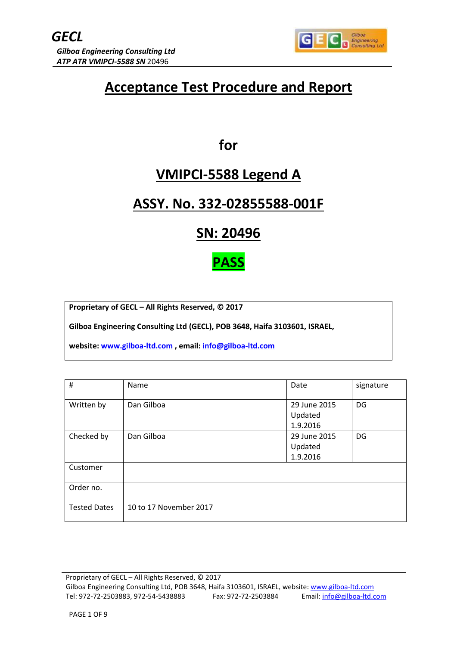

# **Acceptance Test Procedure and Report**

**for** 

# **VMIPCI-5588 Legend A**

# **ASSY. No. 332-02855588-001F**

**SN: 20496**

**PASS**

**Proprietary of GECL – All Rights Reserved, © 2017**

**Gilboa Engineering Consulting Ltd (GECL), POB 3648, Haifa 3103601, ISRAEL,**

**website[: www.gilboa-ltd.com](http://www.gilboa-ltd.com/) , email: [info@gilboa-ltd.com](mailto:info@gilboa-ltd.com)**

| #                   | Name                   | Date                                | signature |
|---------------------|------------------------|-------------------------------------|-----------|
| Written by          | Dan Gilboa             | 29 June 2015<br>Updated<br>1.9.2016 | DG        |
| Checked by          | Dan Gilboa             | 29 June 2015<br>Updated<br>1.9.2016 | DG        |
| Customer            |                        |                                     |           |
| Order no.           |                        |                                     |           |
| <b>Tested Dates</b> | 10 to 17 November 2017 |                                     |           |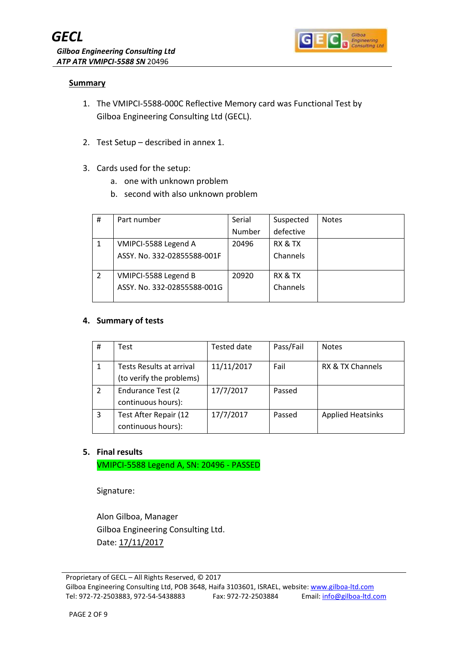

### **Summary**

- 1. The VMIPCI-5588-000C Reflective Memory card was Functional Test by Gilboa Engineering Consulting Ltd (GECL).
- 2. Test Setup described in annex 1.
- 3. Cards used for the setup:
	- a. one with unknown problem
	- b. second with also unknown problem

| # | Part number                 | Serial | Suspected | <b>Notes</b> |
|---|-----------------------------|--------|-----------|--------------|
|   |                             | Number | defective |              |
|   | VMIPCI-5588 Legend A        | 20496  | RX & TX   |              |
|   | ASSY. No. 332-02855588-001F |        | Channels  |              |
|   |                             |        |           |              |
|   | VMIPCI-5588 Legend B        | 20920  | RX & TX   |              |
|   | ASSY, No. 332-02855588-001G |        | Channels  |              |
|   |                             |        |           |              |

#### **4. Summary of tests**

| #              | Test                                                 | Tested date | Pass/Fail | <b>Notes</b>             |
|----------------|------------------------------------------------------|-------------|-----------|--------------------------|
|                | Tests Results at arrival<br>(to verify the problems) | 11/11/2017  | Fail      | RX & TX Channels         |
| $\overline{2}$ | <b>Endurance Test (2)</b><br>continuous hours):      | 17/7/2017   | Passed    |                          |
| 3              | Test After Repair (12<br>continuous hours):          | 17/7/2017   | Passed    | <b>Applied Heatsinks</b> |

### **5. Final results**

VMIPCI-5588 Legend A, SN: 20496 - PASSED

Signature:

Alon Gilboa, Manager Gilboa Engineering Consulting Ltd. Date: 17/11/2017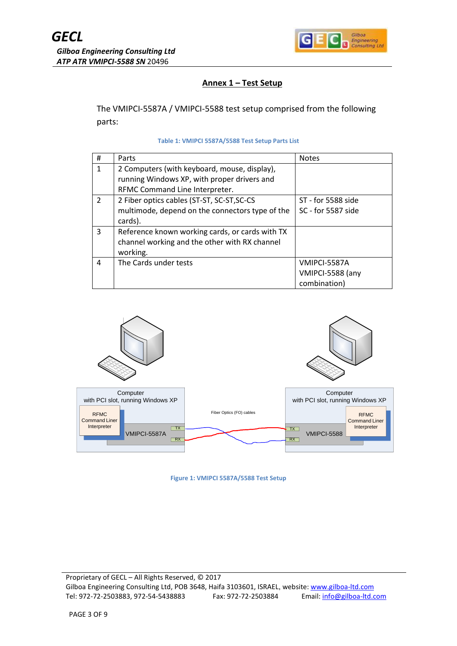

## **Annex 1 – Test Setup**

The VMIPCI-5587A / VMIPCI-5588 test setup comprised from the following parts:

#### **Table 1: VMIPCI 5587A/5588 Test Setup Parts List**

| #             | Parts                                           | <b>Notes</b>       |
|---------------|-------------------------------------------------|--------------------|
| 1             | 2 Computers (with keyboard, mouse, display),    |                    |
|               | running Windows XP, with proper drivers and     |                    |
|               | RFMC Command Line Interpreter.                  |                    |
| $\mathcal{P}$ | 2 Fiber optics cables (ST-ST, SC-ST, SC-CS      | ST - for 5588 side |
|               | multimode, depend on the connectors type of the | SC - for 5587 side |
|               | cards).                                         |                    |
| 3             | Reference known working cards, or cards with TX |                    |
|               | channel working and the other with RX channel   |                    |
|               | working.                                        |                    |
| 4             | The Cards under tests                           | VMIPCI-5587A       |
|               |                                                 | VMIPCI-5588 (any   |
|               |                                                 | combination)       |



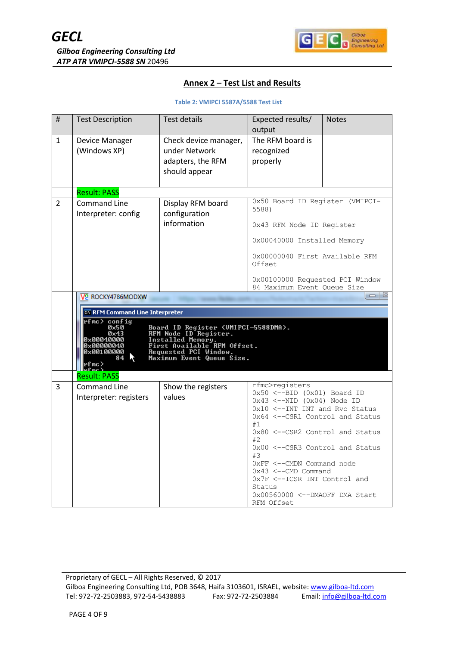

### **Annex 2 – Test List and Results**

#### **Table 2: VMIPCI 5587A/5588 Test List**

| #              | <b>Test Description</b>                                                                                                                                                    | <b>Test details</b>                                                                                                                                                    | Expected results/                                                                                                       | <b>Notes</b> |
|----------------|----------------------------------------------------------------------------------------------------------------------------------------------------------------------------|------------------------------------------------------------------------------------------------------------------------------------------------------------------------|-------------------------------------------------------------------------------------------------------------------------|--------------|
| $\mathbf{1}$   | Device Manager<br>(Windows XP)                                                                                                                                             | Check device manager,<br>under Network<br>adapters, the RFM<br>should appear                                                                                           | output<br>The RFM board is<br>recognized<br>properly                                                                    |              |
|                | <b>Result: PASS</b>                                                                                                                                                        |                                                                                                                                                                        |                                                                                                                         |              |
| $\overline{2}$ | <b>Command Line</b><br>Interpreter: config                                                                                                                                 | Display RFM board<br>configuration<br>information                                                                                                                      | 0x50 Board ID Register (VMIPCI-<br>5588)<br>0x43 RFM Node ID Register                                                   |              |
|                |                                                                                                                                                                            |                                                                                                                                                                        | 0x00040000 Installed Memory                                                                                             |              |
|                |                                                                                                                                                                            |                                                                                                                                                                        | 0x00000040 First Available RFM<br>Offset                                                                                |              |
|                |                                                                                                                                                                            |                                                                                                                                                                        | 0x00100000 Requested PCI Window<br>84 Maximum Event Queue Size                                                          |              |
|                | V <sub>2</sub> ROCKY4786MODXW<br>ox RFM Command Line Interpreter<br>rfmc> config<br>0x50<br>$0\times 43$<br>0x00040000<br>0x00000040<br>0x00100000<br>84<br>rfmc><br>ռքաշ∖ | Board ID Register (UMIPCI-5588DMA).<br>RFM Node ID Register.<br>Installed Memory.<br>First Available RFM Offset.<br>Requested PCI Window.<br>Maximum Event Queue Size. |                                                                                                                         | e<br>$\Box$  |
|                | <b>Result: PASS</b>                                                                                                                                                        |                                                                                                                                                                        |                                                                                                                         |              |
| 3              | <b>Command Line</b><br>Interpreter: registers                                                                                                                              | Show the registers<br>values                                                                                                                                           | rfmc>reqisters<br>$0x50 \le -BID$ $(0x01)$ Board ID<br>$0x43$ <--NID $(0x04)$ Node ID<br>0x10 <--INT INT and Rvc Status |              |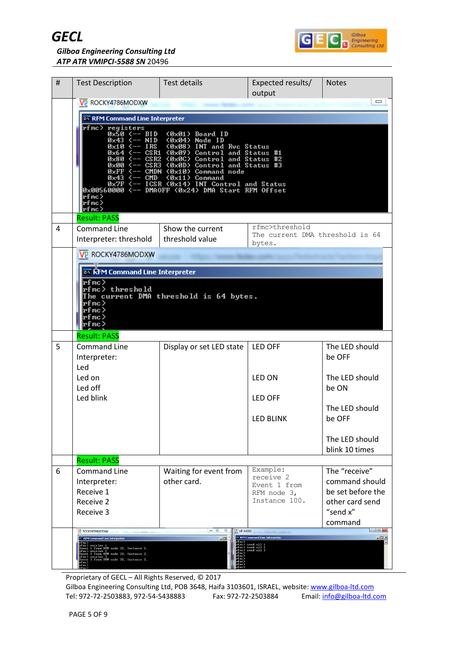



*Gilboa Engineering Consulting Ltd ATP ATR VMIPCI-5588 SN* 20496

| # | <b>Test Description</b>                                                                                                                                                                                                                                                                                                                                                                                                                                                                                                                                                                                                             | <b>Test details</b>                    | Expected results/<br>output                                               | <b>Notes</b>               |  |
|---|-------------------------------------------------------------------------------------------------------------------------------------------------------------------------------------------------------------------------------------------------------------------------------------------------------------------------------------------------------------------------------------------------------------------------------------------------------------------------------------------------------------------------------------------------------------------------------------------------------------------------------------|----------------------------------------|---------------------------------------------------------------------------|----------------------------|--|
|   | $\Box$<br>V <sub>2</sub> ROCKY4786MODXW                                                                                                                                                                                                                                                                                                                                                                                                                                                                                                                                                                                             |                                        |                                                                           |                            |  |
|   | ox RFM Command Line Interpreter                                                                                                                                                                                                                                                                                                                                                                                                                                                                                                                                                                                                     |                                        |                                                                           |                            |  |
|   | rfmc> registers<br>0x50 <-- BID (0x01) Board ID<br>$0 \times 43$ $\leftarrow$ NID $\left( 0 \times 04 \right)$ Node ID<br>$9x49 \leftarrow NP$ ( $9x98$ ) INT and Ruc Status<br>$9x64 \leftarrow PSR1$ ( $9x99$ ) Control and Status #1<br>$9x80 \leftarrow PSR2$ ( $9x90$ ) Control and Status #2<br>$9x80 \leftarrow PSR3$ ( $9x90$ ) Control and Status #2<br>$9x90 \leftarrow PSR3$ ( $9x90$ ) Command node<br>$9x43 \leftarrow CPR0$ (<br><b>DESCRIPS AND THE CONTROVER SEARCH SEARCH STAR SEARCH STAR SEARCH STAR SEARCH STAR SEARCH STAR SEARCH STAR SEARC</b><br>Bx00560000 S-- DMAOFF (0x24) DMA Start RFM Offset<br>rfmc> |                                        |                                                                           |                            |  |
|   | rfmc><br> rfmc>                                                                                                                                                                                                                                                                                                                                                                                                                                                                                                                                                                                                                     |                                        |                                                                           |                            |  |
|   | <b>Result: PASS</b>                                                                                                                                                                                                                                                                                                                                                                                                                                                                                                                                                                                                                 |                                        |                                                                           |                            |  |
| 4 | <b>Command Line</b>                                                                                                                                                                                                                                                                                                                                                                                                                                                                                                                                                                                                                 | Show the current<br>threshold value    | rfmc>threshold<br>The current DMA threshold is 64                         |                            |  |
|   | Interpreter: threshold                                                                                                                                                                                                                                                                                                                                                                                                                                                                                                                                                                                                              |                                        | bytes.                                                                    |                            |  |
|   | V <sub>2</sub> ROCKY4786MODXW                                                                                                                                                                                                                                                                                                                                                                                                                                                                                                                                                                                                       |                                        |                                                                           |                            |  |
|   |                                                                                                                                                                                                                                                                                                                                                                                                                                                                                                                                                                                                                                     |                                        |                                                                           |                            |  |
|   | Իքաշ><br>rfmc> threshold<br>rfmc><br>rfmc><br>rfmc><br>rfmc>                                                                                                                                                                                                                                                                                                                                                                                                                                                                                                                                                                        | The current DMA threshold is 64 bytes. |                                                                           |                            |  |
| 5 | <b>Result: PASS</b><br><b>Command Line</b>                                                                                                                                                                                                                                                                                                                                                                                                                                                                                                                                                                                          | Display or set LED state               | LED OFF                                                                   | The LED should             |  |
|   | Interpreter:<br>Led                                                                                                                                                                                                                                                                                                                                                                                                                                                                                                                                                                                                                 |                                        |                                                                           | be OFF                     |  |
|   | Led on<br>Led off                                                                                                                                                                                                                                                                                                                                                                                                                                                                                                                                                                                                                   |                                        | LED ON                                                                    | The LFD should<br>be ON    |  |
|   | Led blink                                                                                                                                                                                                                                                                                                                                                                                                                                                                                                                                                                                                                           |                                        | <b>LED OFF</b>                                                            |                            |  |
|   |                                                                                                                                                                                                                                                                                                                                                                                                                                                                                                                                                                                                                                     |                                        |                                                                           | The LED should<br>be OFF   |  |
|   |                                                                                                                                                                                                                                                                                                                                                                                                                                                                                                                                                                                                                                     |                                        | <b>LED BLINK</b>                                                          |                            |  |
|   |                                                                                                                                                                                                                                                                                                                                                                                                                                                                                                                                                                                                                                     |                                        |                                                                           | The LED should             |  |
|   |                                                                                                                                                                                                                                                                                                                                                                                                                                                                                                                                                                                                                                     |                                        |                                                                           | blink 10 times             |  |
|   | <b>Result: PASS</b>                                                                                                                                                                                                                                                                                                                                                                                                                                                                                                                                                                                                                 |                                        | Example:                                                                  | The "receive"              |  |
| 6 | <b>Command Line</b><br>Interpreter:                                                                                                                                                                                                                                                                                                                                                                                                                                                                                                                                                                                                 | Waiting for event from<br>other card.  | receive 2                                                                 | command should             |  |
|   | Receive 1                                                                                                                                                                                                                                                                                                                                                                                                                                                                                                                                                                                                                           |                                        | Event 1 from<br>RFM node 3,                                               | be set before the          |  |
|   | Receive 2                                                                                                                                                                                                                                                                                                                                                                                                                                                                                                                                                                                                                           |                                        | Instance 100.                                                             | other card send            |  |
|   | Receive 3                                                                                                                                                                                                                                                                                                                                                                                                                                                                                                                                                                                                                           |                                        |                                                                           | "send x"                   |  |
|   | V2 ROCKY4786MODXW                                                                                                                                                                                                                                                                                                                                                                                                                                                                                                                                                                                                                   | $\Box$<br>P HP-X4000                   |                                                                           | command<br>$\Box$          |  |
|   | <b>Ex RFM Command Line Interpreter</b><br>pfnc)<br>remont i from RPM<br>node 32, Instance 2.<br>pfnc) receive 2<br>pfnc) receive 2<br>pfnc 2 from RPM node 32, Instance 2.<br>cent 3 from RPM node 32, Instance 2.<br>cent 3 from RPM node 32, Instance 2.                                                                                                                                                                                                                                                                                                                                                                          | $-1$                                   | EN RFM Command Line Interpreter<br>send all 1<br>send all 2<br>send all 3 | $\underline{\blacksquare}$ |  |

Proprietary of GECL – All Rights Reserved, © 2017

Gilboa Engineering Consulting Ltd, POB 3648, Haifa 3103601, ISRAEL, website: [www.gilboa-ltd.com](http://www.gilboa-ltd.com/) Tel: 972-72-2503883, 972-54-5438883 Fax: 972-72-2503884 Email: [info@gilboa-ltd.com](mailto:info@gilboa-ltd.com)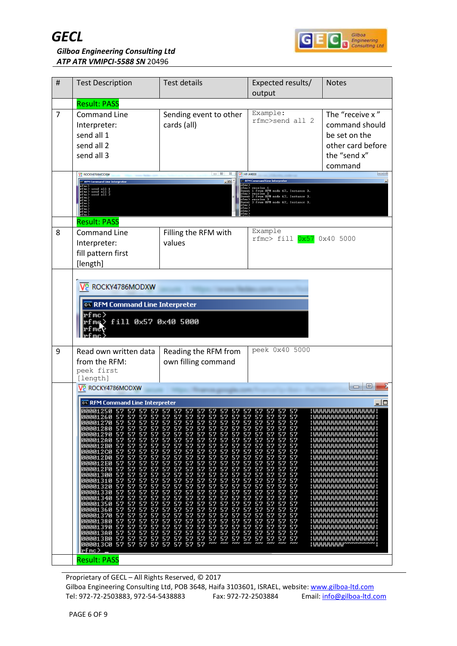



| #              | <b>Test Description</b>                                                                                                                                                                                                                                                                                                                                                                                                                                                                                                                                                                                                                                                                                                                                                                                    | <b>Test details</b>                                                                                                                                                                                                                                                                                                                                                                                                                                                                                                                                                                                                                                                                                                                                                                                                                                                                                                                                       | Expected results/<br>output                                                                                                                                                                                                                                                                                                                                                                                                                                                                                                                                                                                                                                                     | <b>Notes</b>                                                                                                                                                                                                                                                                                                                                                                                                                                                                                                                                      |
|----------------|------------------------------------------------------------------------------------------------------------------------------------------------------------------------------------------------------------------------------------------------------------------------------------------------------------------------------------------------------------------------------------------------------------------------------------------------------------------------------------------------------------------------------------------------------------------------------------------------------------------------------------------------------------------------------------------------------------------------------------------------------------------------------------------------------------|-----------------------------------------------------------------------------------------------------------------------------------------------------------------------------------------------------------------------------------------------------------------------------------------------------------------------------------------------------------------------------------------------------------------------------------------------------------------------------------------------------------------------------------------------------------------------------------------------------------------------------------------------------------------------------------------------------------------------------------------------------------------------------------------------------------------------------------------------------------------------------------------------------------------------------------------------------------|---------------------------------------------------------------------------------------------------------------------------------------------------------------------------------------------------------------------------------------------------------------------------------------------------------------------------------------------------------------------------------------------------------------------------------------------------------------------------------------------------------------------------------------------------------------------------------------------------------------------------------------------------------------------------------|---------------------------------------------------------------------------------------------------------------------------------------------------------------------------------------------------------------------------------------------------------------------------------------------------------------------------------------------------------------------------------------------------------------------------------------------------------------------------------------------------------------------------------------------------|
|                | <b>Result: PASS</b>                                                                                                                                                                                                                                                                                                                                                                                                                                                                                                                                                                                                                                                                                                                                                                                        |                                                                                                                                                                                                                                                                                                                                                                                                                                                                                                                                                                                                                                                                                                                                                                                                                                                                                                                                                           |                                                                                                                                                                                                                                                                                                                                                                                                                                                                                                                                                                                                                                                                                 |                                                                                                                                                                                                                                                                                                                                                                                                                                                                                                                                                   |
| $\overline{7}$ | <b>Command Line</b><br>Interpreter:<br>send all 1<br>send all 2<br>send all 3                                                                                                                                                                                                                                                                                                                                                                                                                                                                                                                                                                                                                                                                                                                              | Sending event to other<br>cards (all)                                                                                                                                                                                                                                                                                                                                                                                                                                                                                                                                                                                                                                                                                                                                                                                                                                                                                                                     | Example:<br>rfmc>send all 2                                                                                                                                                                                                                                                                                                                                                                                                                                                                                                                                                                                                                                                     | The "receive x"<br>command should<br>be set on the<br>other card before<br>the "send x"<br>command                                                                                                                                                                                                                                                                                                                                                                                                                                                |
|                | V <sub>2</sub> ROCKY4786MODXW<br><b>EN RFM Command Line Interpreter</b>                                                                                                                                                                                                                                                                                                                                                                                                                                                                                                                                                                                                                                                                                                                                    | $\begin{tabular}{c} \multicolumn{2}{c} {\textbf{a}} & \multicolumn{2}{c} {\textbf{b}} \\ \multicolumn{2}{c} {\textbf{c}} & \multicolumn{2}{c} {\textbf{c}} \\ \multicolumn{2}{c} {\textbf{c}} & \multicolumn{2}{c} {\textbf{c}} \\ \multicolumn{2}{c} {\textbf{d}} & \multicolumn{2}{c} {\textbf{e}} \\ \multicolumn{2}{c} {\textbf{e}} & \multicolumn{2}{c} {\textbf{e}} \\ \multicolumn{2}{c} {\textbf{e}} & \multicolumn{2}{c} {\textbf{e}} \\ \multicolumn{2}{c} {\textbf{e}} & \multicolumn$                                                                                                                                                                                                                                                                                                                                                                                                                                                         | <b>V2 HP-X4000</b><br>EN RFM Command Line Interpreter                                                                                                                                                                                                                                                                                                                                                                                                                                                                                                                                                                                                                           | $-15$                                                                                                                                                                                                                                                                                                                                                                                                                                                                                                                                             |
|                | fmc> send all 1<br>fmc> send all 2<br>fmc> send all 3                                                                                                                                                                                                                                                                                                                                                                                                                                                                                                                                                                                                                                                                                                                                                      | $\Box$                                                                                                                                                                                                                                                                                                                                                                                                                                                                                                                                                                                                                                                                                                                                                                                                                                                                                                                                                    | .<br>:Yent 1 from RFM node 67, Instance 3.<br>:Yent 1 from RFM node 67, Instance 3.<br>rfmc> receive 2<br>Event 2 from RFM node 67, Instance 3.<br>fmc> receive 3<br>vent 3 from RFM node 67, Instance                                                                                                                                                                                                                                                                                                                                                                                                                                                                          |                                                                                                                                                                                                                                                                                                                                                                                                                                                                                                                                                   |
|                | <b>Result: PASS</b>                                                                                                                                                                                                                                                                                                                                                                                                                                                                                                                                                                                                                                                                                                                                                                                        |                                                                                                                                                                                                                                                                                                                                                                                                                                                                                                                                                                                                                                                                                                                                                                                                                                                                                                                                                           | Example                                                                                                                                                                                                                                                                                                                                                                                                                                                                                                                                                                                                                                                                         |                                                                                                                                                                                                                                                                                                                                                                                                                                                                                                                                                   |
| 8              | <b>Command Line</b><br>Interpreter:<br>fill pattern first<br>[length]                                                                                                                                                                                                                                                                                                                                                                                                                                                                                                                                                                                                                                                                                                                                      | Filling the RFM with<br>values                                                                                                                                                                                                                                                                                                                                                                                                                                                                                                                                                                                                                                                                                                                                                                                                                                                                                                                            | $rfmc$ > fill $0x57$ 0x40 5000                                                                                                                                                                                                                                                                                                                                                                                                                                                                                                                                                                                                                                                  |                                                                                                                                                                                                                                                                                                                                                                                                                                                                                                                                                   |
|                |                                                                                                                                                                                                                                                                                                                                                                                                                                                                                                                                                                                                                                                                                                                                                                                                            |                                                                                                                                                                                                                                                                                                                                                                                                                                                                                                                                                                                                                                                                                                                                                                                                                                                                                                                                                           |                                                                                                                                                                                                                                                                                                                                                                                                                                                                                                                                                                                                                                                                                 |                                                                                                                                                                                                                                                                                                                                                                                                                                                                                                                                                   |
|                | V <sub>2</sub> ROCKY4786MODXW                                                                                                                                                                                                                                                                                                                                                                                                                                                                                                                                                                                                                                                                                                                                                                              |                                                                                                                                                                                                                                                                                                                                                                                                                                                                                                                                                                                                                                                                                                                                                                                                                                                                                                                                                           |                                                                                                                                                                                                                                                                                                                                                                                                                                                                                                                                                                                                                                                                                 |                                                                                                                                                                                                                                                                                                                                                                                                                                                                                                                                                   |
|                |                                                                                                                                                                                                                                                                                                                                                                                                                                                                                                                                                                                                                                                                                                                                                                                                            |                                                                                                                                                                                                                                                                                                                                                                                                                                                                                                                                                                                                                                                                                                                                                                                                                                                                                                                                                           |                                                                                                                                                                                                                                                                                                                                                                                                                                                                                                                                                                                                                                                                                 |                                                                                                                                                                                                                                                                                                                                                                                                                                                                                                                                                   |
|                | ox RFM Command Line Interpreter<br>^fmc>                                                                                                                                                                                                                                                                                                                                                                                                                                                                                                                                                                                                                                                                                                                                                                   |                                                                                                                                                                                                                                                                                                                                                                                                                                                                                                                                                                                                                                                                                                                                                                                                                                                                                                                                                           |                                                                                                                                                                                                                                                                                                                                                                                                                                                                                                                                                                                                                                                                                 |                                                                                                                                                                                                                                                                                                                                                                                                                                                                                                                                                   |
|                | fill 0x57 0x40 5000                                                                                                                                                                                                                                                                                                                                                                                                                                                                                                                                                                                                                                                                                                                                                                                        |                                                                                                                                                                                                                                                                                                                                                                                                                                                                                                                                                                                                                                                                                                                                                                                                                                                                                                                                                           |                                                                                                                                                                                                                                                                                                                                                                                                                                                                                                                                                                                                                                                                                 |                                                                                                                                                                                                                                                                                                                                                                                                                                                                                                                                                   |
| 9              | Read own written data                                                                                                                                                                                                                                                                                                                                                                                                                                                                                                                                                                                                                                                                                                                                                                                      | Reading the RFM from                                                                                                                                                                                                                                                                                                                                                                                                                                                                                                                                                                                                                                                                                                                                                                                                                                                                                                                                      | peek 0x40 5000                                                                                                                                                                                                                                                                                                                                                                                                                                                                                                                                                                                                                                                                  |                                                                                                                                                                                                                                                                                                                                                                                                                                                                                                                                                   |
|                | from the RFM:                                                                                                                                                                                                                                                                                                                                                                                                                                                                                                                                                                                                                                                                                                                                                                                              | own filling command                                                                                                                                                                                                                                                                                                                                                                                                                                                                                                                                                                                                                                                                                                                                                                                                                                                                                                                                       |                                                                                                                                                                                                                                                                                                                                                                                                                                                                                                                                                                                                                                                                                 |                                                                                                                                                                                                                                                                                                                                                                                                                                                                                                                                                   |
|                | peek first<br>[length]                                                                                                                                                                                                                                                                                                                                                                                                                                                                                                                                                                                                                                                                                                                                                                                     |                                                                                                                                                                                                                                                                                                                                                                                                                                                                                                                                                                                                                                                                                                                                                                                                                                                                                                                                                           |                                                                                                                                                                                                                                                                                                                                                                                                                                                                                                                                                                                                                                                                                 |                                                                                                                                                                                                                                                                                                                                                                                                                                                                                                                                                   |
|                | V2 ROCKY4786MODXW                                                                                                                                                                                                                                                                                                                                                                                                                                                                                                                                                                                                                                                                                                                                                                                          |                                                                                                                                                                                                                                                                                                                                                                                                                                                                                                                                                                                                                                                                                                                                                                                                                                                                                                                                                           |                                                                                                                                                                                                                                                                                                                                                                                                                                                                                                                                                                                                                                                                                 | e<br>$\Box$                                                                                                                                                                                                                                                                                                                                                                                                                                                                                                                                       |
|                |                                                                                                                                                                                                                                                                                                                                                                                                                                                                                                                                                                                                                                                                                                                                                                                                            |                                                                                                                                                                                                                                                                                                                                                                                                                                                                                                                                                                                                                                                                                                                                                                                                                                                                                                                                                           |                                                                                                                                                                                                                                                                                                                                                                                                                                                                                                                                                                                                                                                                                 |                                                                                                                                                                                                                                                                                                                                                                                                                                                                                                                                                   |
|                | <b>EX RFM Command Line Interpreter</b>                                                                                                                                                                                                                                                                                                                                                                                                                                                                                                                                                                                                                                                                                                                                                                     |                                                                                                                                                                                                                                                                                                                                                                                                                                                                                                                                                                                                                                                                                                                                                                                                                                                                                                                                                           |                                                                                                                                                                                                                                                                                                                                                                                                                                                                                                                                                                                                                                                                                 | - 10<br>: www.www.www.uw                                                                                                                                                                                                                                                                                                                                                                                                                                                                                                                          |
|                | <b>19901Z60</b><br>57<br>57 57<br>57<br>00001270 57<br>57<br>57<br>00001280 57<br>57<br>00001290 57<br>57<br>57<br>57<br>57<br>000012A0 57<br>57<br><b>000012B0 57</b><br>57<br>57<br>57<br>000012C0 57<br>57<br>57<br><b>000012D0 57</b><br>57<br>57<br>000012E0<br>57<br>57<br>57<br>57<br><b>000012F0 57</b><br>57<br>57<br>57<br>57<br>57<br>00001300 57<br>57<br>00001310 57<br>57<br>57<br>00001320 57<br>57<br>57<br>57<br>00001330 57<br>57<br>57<br>57<br>00001340 57<br>57<br>57<br>00001350 57<br>57<br>57<br>57<br>57<br>57<br>57<br>00001360<br>57<br>00001370 57<br>57<br>57<br>57<br>00001380 57<br>57<br>57<br>57<br>57<br>57<br>00001390 57<br>57<br>57<br>57<br>000013A0 57<br>57<br>57<br><b>000013B0 57</b><br>57<br>57<br>000013C0 57 57<br>57<br>57<br> rfmc><br><b>Result: PASS</b> | 57<br>57 57<br>57<br>57<br>57<br>57<br>57<br>57 57 57 57<br>57<br>57<br>57<br>57 57<br>57<br>57<br>57<br>57<br>57<br>57<br>57<br>57<br>57<br>57<br>57<br>57<br>57<br>57 57<br>57<br>57<br>57 57<br>57<br>57<br>57 57<br>57<br>57<br>57<br>57 57<br>57 57<br>57<br>57<br>57<br>57<br>57<br>57<br>57<br>57<br>57<br>57<br>57<br>57<br>57<br>57<br>57<br>57<br>57<br>57<br>57<br>57<br>57 57<br>57<br>52<br>57 57<br>57<br>57 57<br>57<br>57<br>57<br>57<br>57<br>57<br>52<br>57<br>57<br>57<br>57<br>57<br>57<br>57 57<br>57<br>57<br>57<br>57 57<br>57 57<br>57<br>57<br>$\frac{57}{57}$<br>57<br>57<br>57<br>57<br>57<br>57<br>57<br>57<br>57<br>57<br>57<br>57<br>57<br>57<br>57<br>57<br>57<br>57<br>57<br>57<br>57 57<br>57 57<br>57<br>57<br>57<br>57<br>57<br>57<br>57 57<br>57<br>57<br>57<br>57<br>57<br>57<br>57<br>57<br>57<br>57<br>57<br>57<br>57<br>57<br>57<br>57 57<br>57<br>$\frac{57}{20}$<br>57<br>57<br>57<br>57<br>Ż<br>ww<br>57<br>57 | -57<br>57<br>57 57<br>57<br>57<br>57<br>57<br>57 57 57<br>57<br>57<br>57.<br>57 57<br>57<br>57<br>57<br>57<br>57<br>57<br>57<br>57 57<br>57<br>57<br>57<br>57 57 57<br>57<br>57<br>57 57<br>57<br>57<br>57<br>57<br>57<br>57<br>57<br>57<br>57<br>57<br>57<br>57<br>57<br>57<br>57<br>57<br>57<br>57<br>57<br>57<br>57<br>57<br>57<br>57<br>57<br>57<br>57<br>57<br>57<br>57 57<br>57<br>57<br>57<br>57<br>57<br>57<br>57<br>57<br>57<br>57<br>57<br>57<br>57<br>57<br>57<br>57<br>57<br>57<br>57<br>57<br>57 57<br>57<br>57<br>57<br>57<br>57<br>57<br>57<br>57<br>57 57<br>57<br>$\frac{57}{25}$<br>$\frac{57}{20}$<br>$\frac{57}{25}$<br>$\frac{57}{20}$<br>57<br><b>AWV</b> | , www.www.www.www<br>: AAAAAAAAAAAAAAAA :<br>: www.www.www.ww<br>: www.mananananana<br>: www.nananananana<br>: nannannannannan :<br>: nannannannannan :<br>: AAAAAAAAAAAAAAAA :<br>: AAAAAAAAAAAAAAAA :<br>: AAAAAAAAAAAAAAAA :<br>: AAAAAAAAAAAAAAAAA :<br>: www.www.www.ww<br>: AAAAAAAAAAAAAAAA :<br>: AAAAAAAAAAAAAAAA :<br>: nannannannannan :<br>: www.www.www.ww<br>: nannannannannan :<br>: AAAAAAAAAAAAAAAA :<br>: nannannannannan :<br>: www.www.www.ww<br>: www.mananananana<br>: nnnnnnnnnnnnnnn:<br>: AAAAAAAAAA <sub>wwwwww.i</sub> |

Proprietary of GECL – All Rights Reserved, © 2017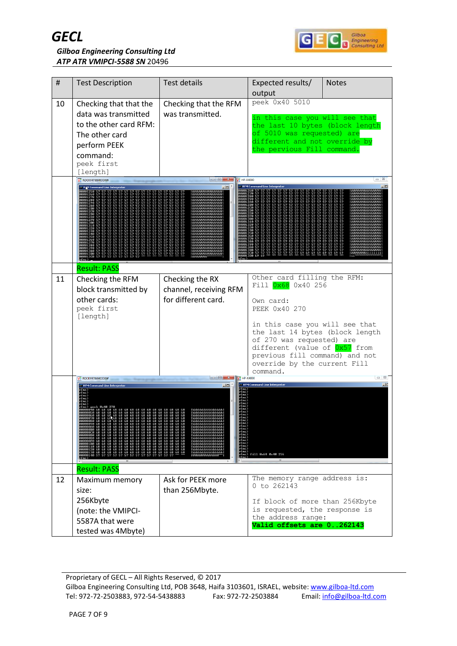



| #  | <b>Test Description</b>                                                                                                                          | <b>Test details</b>                           | Expected results/<br>output                                                                                                                                                                                   | <b>Notes</b> |
|----|--------------------------------------------------------------------------------------------------------------------------------------------------|-----------------------------------------------|---------------------------------------------------------------------------------------------------------------------------------------------------------------------------------------------------------------|--------------|
| 10 | Checking that that the<br>data was transmitted<br>to the other card RFM:<br>The other card<br>perform PEEK<br>command:<br>peek first<br>[length] | Checking that the RFM<br>was transmitted.     | peek 0x40 5010<br>in this case you will see that<br>the last 10 bytes (block length<br>of 5010 was requested) are<br>different and not override by<br>the pervious Fill command.                              |              |
|    | V2 ROCKY4786MODXW<br><b>REM Command Line Interprete</b>                                                                                          | P HP-X4000<br>- 미                             | Co RFM Command Line Interprete                                                                                                                                                                                |              |
|    |                                                                                                                                                  |                                               |                                                                                                                                                                                                               |              |
|    | <b>Result: PASS</b>                                                                                                                              |                                               |                                                                                                                                                                                                               |              |
| 11 | Checking the RFM                                                                                                                                 | Checking the RX                               | Other card filling the RFM:<br>Fill 0x68 0x40 256                                                                                                                                                             |              |
|    | block transmitted by<br>other cards:<br>peek first<br>[length]                                                                                   | channel, receiving RFM<br>for different card. | Own card:<br>PEEK 0x40 270                                                                                                                                                                                    |              |
|    |                                                                                                                                                  |                                               | in this case you will see that<br>the last 14 bytes (block length<br>of 270 was requested) are<br>different (value of 0x57 from<br>previous fill command) and not<br>override by the current Fill<br>command. |              |
|    | V2 ROCKY4786MODXW<br>RFM Command Line Interpreter                                                                                                | $\overline{P}$ HP-X4000<br>- 미                | ov RFM Command Line Interprete                                                                                                                                                                                |              |
|    |                                                                                                                                                  |                                               | fill 0x68 0x40 256                                                                                                                                                                                            |              |
|    | <b>Result: PASS</b>                                                                                                                              |                                               |                                                                                                                                                                                                               |              |
| 12 | Maximum memory                                                                                                                                   | Ask for PEEK more                             | The memory range address is:<br>0 to 262143                                                                                                                                                                   |              |
|    | size:<br>256Kbyte                                                                                                                                | than 256Mbyte.                                | If block of more than 256Kbyte                                                                                                                                                                                |              |
|    | (note: the VMIPCI-                                                                                                                               |                                               | is requested, the response is                                                                                                                                                                                 |              |
|    | 5587A that were                                                                                                                                  |                                               | the address range:<br>Valid offsets are 0262143                                                                                                                                                               |              |
|    | tested was 4Mbyte)                                                                                                                               |                                               |                                                                                                                                                                                                               |              |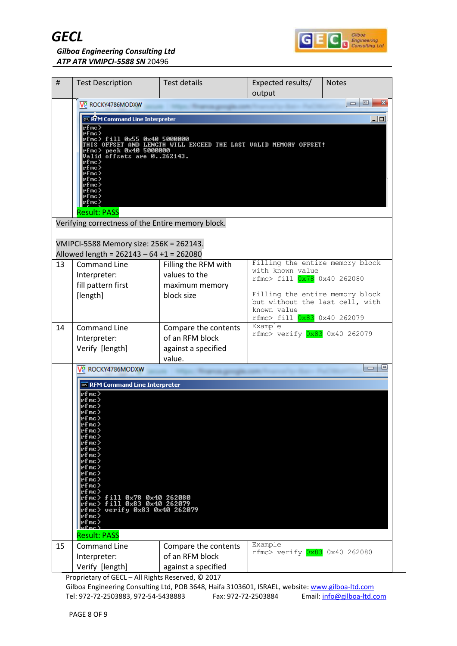



*Gilboa Engineering Consulting Ltd ATP ATR VMIPCI-5588 SN* 20496

| Test details<br>Expected results/<br>#<br><b>Test Description</b><br><b>Notes</b><br>output                                                                                                                                                                                                                                       |                                                                                                                                 |  |  |  |
|-----------------------------------------------------------------------------------------------------------------------------------------------------------------------------------------------------------------------------------------------------------------------------------------------------------------------------------|---------------------------------------------------------------------------------------------------------------------------------|--|--|--|
| V2 ROCKY4786MODXW                                                                                                                                                                                                                                                                                                                 | $\begin{array}{c c c c c} \hline \multicolumn{3}{c }{\textbf{0}} & \multicolumn{3}{c }{\textbf{0}} \end{array}$<br>$\mathbf{x}$ |  |  |  |
| on RFM Command Line Interpreter                                                                                                                                                                                                                                                                                                   | 그미                                                                                                                              |  |  |  |
| rfmc><br>rfmc><br>rfmc> fill 0x55 0x40 5000000<br>IS OFFSET AND LENGTH WILL EXCEED THE LAST UALID MEMORY OFFSET!<br>rfmc> peek 0x40 5000000<br>Valid offsets are 0262143.<br>rfmc><br>rfnc><br>rfmc><br>rfmc)<br>rfmc)<br>rfmc><br>rfmc)<br>∙fmc>                                                                                 |                                                                                                                                 |  |  |  |
| <b>Result: PASS</b><br>Verifying correctness of the Entire memory block.                                                                                                                                                                                                                                                          |                                                                                                                                 |  |  |  |
|                                                                                                                                                                                                                                                                                                                                   |                                                                                                                                 |  |  |  |
| VMIPCI-5588 Memory size: 256K = 262143.                                                                                                                                                                                                                                                                                           |                                                                                                                                 |  |  |  |
| Allowed length = $262143 - 64 + 1 = 262080$                                                                                                                                                                                                                                                                                       |                                                                                                                                 |  |  |  |
| Filling the entire memory block<br><b>Command Line</b><br>Filling the RFM with<br>13<br>with known value                                                                                                                                                                                                                          |                                                                                                                                 |  |  |  |
| values to the<br>Interpreter:<br>rfmc> fill 0x78 0x40 262080                                                                                                                                                                                                                                                                      |                                                                                                                                 |  |  |  |
| fill pattern first<br>maximum memory<br>Filling the entire memory block<br>[length]<br>block size                                                                                                                                                                                                                                 |                                                                                                                                 |  |  |  |
| but without the last cell, with                                                                                                                                                                                                                                                                                                   |                                                                                                                                 |  |  |  |
| known value<br>rfmc> fill 0x83 0x40 262079                                                                                                                                                                                                                                                                                        |                                                                                                                                 |  |  |  |
| Example<br><b>Command Line</b><br>14<br>Compare the contents<br>$rfmc$ verify $0x83$ 0x40 262079<br>of an RFM block<br>Interpreter:<br>Verify [length]<br>against a specified<br>value.                                                                                                                                           |                                                                                                                                 |  |  |  |
| V2 ROCKY4786MODXW                                                                                                                                                                                                                                                                                                                 | 回<br>$-1$                                                                                                                       |  |  |  |
|                                                                                                                                                                                                                                                                                                                                   |                                                                                                                                 |  |  |  |
| ox RFM Command Line Interpreter<br>rfmc><br>rfmc)<br>∙f mc<br>·fmc><br>rfnc><br>•fmc><br>rfmc><br>rfmc><br>rfmc><br>rfmc><br>rfmc><br>rfmc><br>rfmc><br>rfmc><br>rfmc><br>rfmc><br>rfmc> fill 0x78 0x40 262080<br>rfmc> fill 0x83 0x40 262079<br>rfmc> verify 0x83 0x40 262079<br>rfmc><br>rfmc><br>.քար չ<br><b>Result: PASS</b> |                                                                                                                                 |  |  |  |
| Example                                                                                                                                                                                                                                                                                                                           |                                                                                                                                 |  |  |  |
| 15<br>Compare the contents<br><b>Command Line</b><br>rfmc> verify $0x83$ 0x40 262080<br>of an RFM block<br>Interpreter:                                                                                                                                                                                                           |                                                                                                                                 |  |  |  |
|                                                                                                                                                                                                                                                                                                                                   |                                                                                                                                 |  |  |  |

Proprietary of GECL – All Rights Reserved, © 2017

Gilboa Engineering Consulting Ltd, POB 3648, Haifa 3103601, ISRAEL, website: [www.gilboa-ltd.com](http://www.gilboa-ltd.com/) Tel: 972-72-2503883, 972-54-5438883 Fax: 972-72-2503884 Email: [info@gilboa-ltd.com](mailto:info@gilboa-ltd.com)